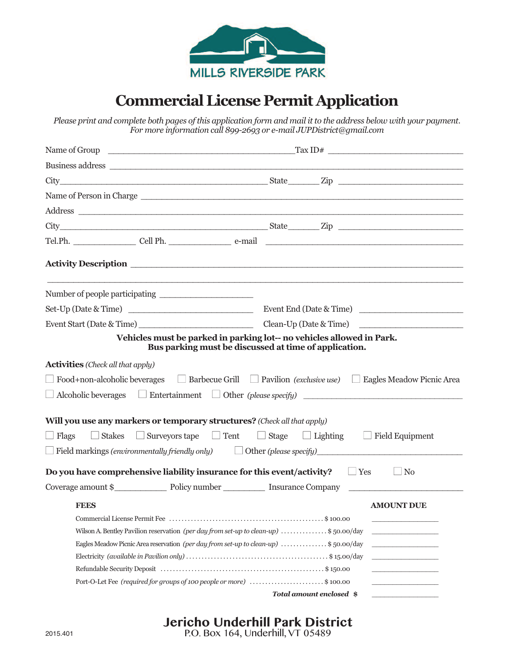

## **CommercialLicense Permit Application**

Please print and complete both pages of this application form and mail it to the address below with your payment. *For more information call 899-2693 or e-mail JUPDistrict@gmail.com*

| Name of Person in Charge                                                                                                                                                                                                      |                                                                                                     |
|-------------------------------------------------------------------------------------------------------------------------------------------------------------------------------------------------------------------------------|-----------------------------------------------------------------------------------------------------|
| Address experiences and the set of the set of the set of the set of the set of the set of the set of the set of the set of the set of the set of the set of the set of the set of the set of the set of the set of the set of |                                                                                                     |
|                                                                                                                                                                                                                               |                                                                                                     |
|                                                                                                                                                                                                                               |                                                                                                     |
|                                                                                                                                                                                                                               |                                                                                                     |
|                                                                                                                                                                                                                               |                                                                                                     |
|                                                                                                                                                                                                                               |                                                                                                     |
|                                                                                                                                                                                                                               |                                                                                                     |
| Vehicles must be parked in parking lot-- no vehicles allowed in Park.<br>Bus parking must be discussed at time of application.                                                                                                |                                                                                                     |
| <b>Activities</b> (Check all that apply)                                                                                                                                                                                      |                                                                                                     |
| $\Box$ Food+non-alcoholic beverages $\Box$ Barbecue Grill $\Box$ Pavilion (exclusive use) $\Box$ Eagles Meadow Picnic Area                                                                                                    |                                                                                                     |
| $\Box$ Alcoholic beverages $\Box$ Entertainment $\Box$ Other (please specify) $\Box$                                                                                                                                          |                                                                                                     |
|                                                                                                                                                                                                                               |                                                                                                     |
| Will you use any markers or temporary structures? (Check all that apply)                                                                                                                                                      |                                                                                                     |
| $\Box$ Flags                                                                                                                                                                                                                  | $\Box$ Stakes $\Box$ Surveyors tape $\Box$ Tent $\Box$ Stage $\Box$ Lighting $\Box$ Field Equipment |
| $\Box$ Field markings (environmentally friendly only) $\Box$ Other (please specify)                                                                                                                                           |                                                                                                     |
| Do you have comprehensive liability insurance for this event/activity? $\Box$ Yes $\Box$ No                                                                                                                                   |                                                                                                     |
| Coverage amount \$                                                                                                                                                                                                            |                                                                                                     |
| <b>FEES</b>                                                                                                                                                                                                                   | <b>AMOUNT DUE</b>                                                                                   |
|                                                                                                                                                                                                                               |                                                                                                     |
| Wilson A. Bentley Pavilion reservation (per day from set-up to clean-up) \$50.00/day                                                                                                                                          |                                                                                                     |
| Eagles Meadow Picnic Area reservation (per day from set-up to clean-up) \$50.00/day                                                                                                                                           |                                                                                                     |
|                                                                                                                                                                                                                               |                                                                                                     |
|                                                                                                                                                                                                                               |                                                                                                     |
| Port-O-Let Fee (required for groups of 100 people or more) \$100.00                                                                                                                                                           |                                                                                                     |
|                                                                                                                                                                                                                               | Total amount enclosed \$                                                                            |